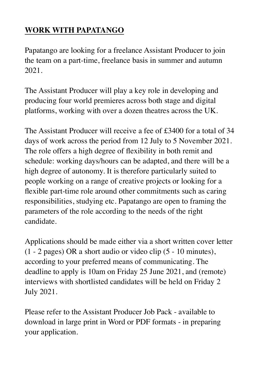## **WORK WITH PAPATANGO**

Papatango are looking for a freelance Assistant Producer to join the team on a part-time, freelance basis in summer and autumn 2021.

The Assistant Producer will play a key role in developing and producing four world premieres across both stage and digital platforms, working with over a dozen theatres across the UK.

The Assistant Producer will receive a fee of £3400 for a total of 34 days of work across the period from 12 July to 5 November 2021. The role offers a high degree of flexibility in both remit and schedule: working days/hours can be adapted, and there will be a high degree of autonomy. It is therefore particularly suited to people working on a range of creative projects or looking for a flexible part-time role around other commitments such as caring responsibilities, studying etc. Papatango are open to framing the parameters of the role according to the needs of the right candidate.

Applications should be made either via a short written cover letter (1 - 2 pages) OR a short audio or video clip (5 - 10 minutes), according to your preferred means of communicating. The deadline to apply is 10am on Friday 25 June 2021, and (remote) interviews with shortlisted candidates will be held on Friday 2 July 2021.

Please refer to the Assistant Producer Job Pack - available to download in large print in Word or PDF formats - in preparing your application.